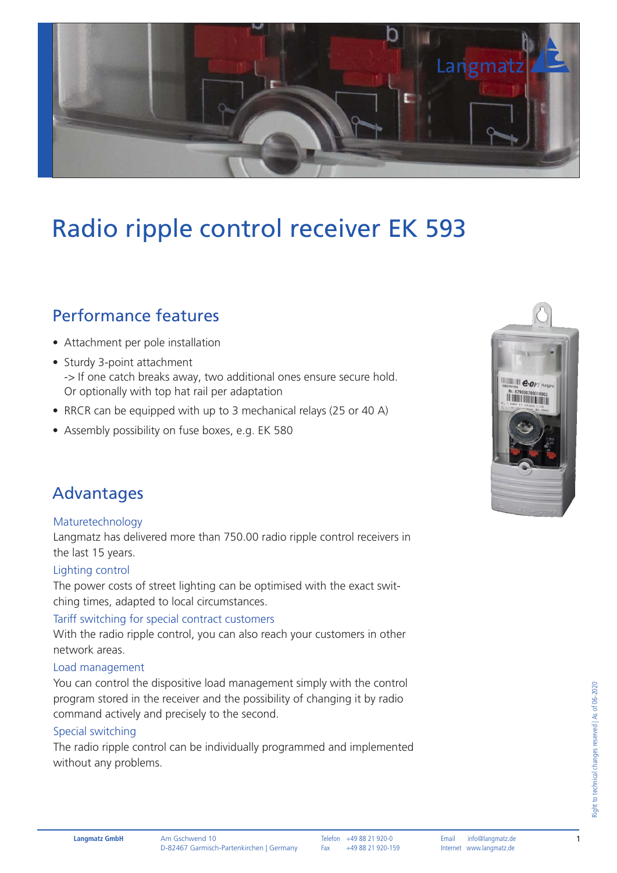

# Radio ripple control receiver EK 593

### Performance features

- Attachment per pole installation
- Sturdy 3-point attachment -> If one catch breaks away, two additional ones ensure secure hold. Or optionally with top hat rail per adaptation
- RRCR can be equipped with up to 3 mechanical relays (25 or 40 A)
- Assembly possibility on fuse boxes, e.g. EK 580

### Advantages

#### Maturetechnology

Langmatz has delivered more than 750.00 radio ripple control receivers in the last 15 years.

#### Lighting control

The power costs of street lighting can be optimised with the exact switching times, adapted to local circumstances.

#### Tariff switching for special contract customers

With the radio ripple control, you can also reach your customers in other network areas.

#### Load management

You can control the dispositive load management simply with the control program stored in the receiver and the possibility of changing it by radio command actively and precisely to the second.

#### Special switching

The radio ripple control can be individually programmed and implemented without any problems.